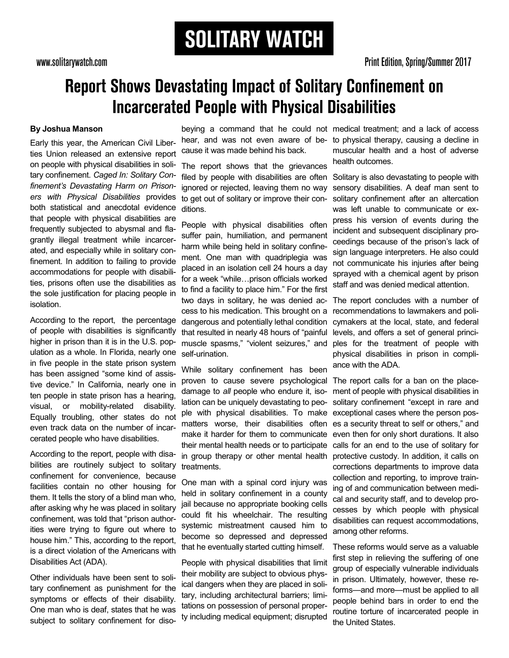# **Report Shows Devastating Impact of Solitary Confinement on Incarcerated People with Physical Disabilities**

## **By Joshua Manson**

Early this year, the American Civil Liberties Union released an extensive report on people with physical disabilities in solitary confinement. *Caged In: Solitary Confinement's Devastating Harm on Prisoners with Physical Disabilities* provides both statistical and anecdotal evidence that people with physical disabilities are frequently subjected to abysmal and flagrantly illegal treatment while incarcerated, and especially while in solitary confinement. In addition to failing to provide accommodations for people with disabilities, prisons often use the disabilities as the sole justification for placing people in isolation.

According to the report, the percentage of people with disabilities is significantly higher in prison than it is in the U.S. population as a whole. In Florida, nearly one in five people in the state prison system has been assigned "some kind of assistive device." In California, nearly one in ten people in state prison has a hearing, visual, or mobility-related disability. Equally troubling, other states do not even track data on the number of incarcerated people who have disabilities.

According to the report, people with disabilities are routinely subject to solitary confinement for convenience, because facilities contain no other housing for them. It tells the story of a blind man who, after asking why he was placed in solitary confinement, was told that "prison authorities were trying to figure out where to house him." This, according to the report, is a direct violation of the Americans with Disabilities Act (ADA).

Other individuals have been sent to solitary confinement as punishment for the symptoms or effects of their disability. One man who is deaf, states that he was subject to solitary confinement for disohear, and was not even aware of because it was made behind his back.

The report shows that the grievances filed by people with disabilities are often ignored or rejected, leaving them no way to get out of solitary or improve their conditions.

People with physical disabilities often suffer pain, humiliation, and permanent harm while being held in solitary confinement. One man with quadriplegia was placed in an isolation cell 24 hours a day for a week "while…prison officials worked to find a facility to place him." For the first two days in solitary, he was denied access to his medication. This brought on a dangerous and potentially lethal condition that resulted in nearly 48 hours of "painful muscle spasms," "violent seizures," and self-urination.

While solitary confinement has been proven to cause severe psychological damage to *all* people who endure it, isolation can be uniquely devastating to people with physical disabilities. To make matters worse, their disabilities often make it harder for them to communicate their mental health needs or to participate in group therapy or other mental health treatments.

One man with a spinal cord injury was held in solitary confinement in a county jail because no appropriate booking cells could fit his wheelchair. The resulting systemic mistreatment caused him to become so depressed and depressed that he eventually started cutting himself.

People with physical disabilities that limit their mobility are subject to obvious physical dangers when they are placed in solitary, including architectural barriers; limitations on possession of personal property including medical equipment; disrupted

beying a command that he could not medical treatment; and a lack of access to physical therapy, causing a decline in muscular health and a host of adverse health outcomes.

> Solitary is also devastating to people with sensory disabilities. A deaf man sent to solitary confinement after an altercation was left unable to communicate or express his version of events during the incident and subsequent disciplinary proceedings because of the prison's lack of sign language interpreters. He also could not communicate his injuries after being sprayed with a chemical agent by prison staff and was denied medical attention.

The report concludes with a number of recommendations to lawmakers and policymakers at the local, state, and federal levels, and offers a set of general principles for the treatment of people with physical disabilities in prison in compliance with the ADA.

The report calls for a ban on the placement of people with physical disabilities in solitary confinement "except in rare and exceptional cases where the person poses a security threat to self or others," and even then for only short durations. It also calls for an end to the use of solitary for protective custody. In addition, it calls on corrections departments to improve data collection and reporting, to improve training of and communication between medical and security staff, and to develop processes by which people with physical disabilities can request accommodations, among other reforms.

These reforms would serve as a valuable first step in relieving the suffering of one group of especially vulnerable individuals in prison. Ultimately, however, these reforms—and more—must be applied to all people behind bars in order to end the routine torture of incarcerated people in the United States.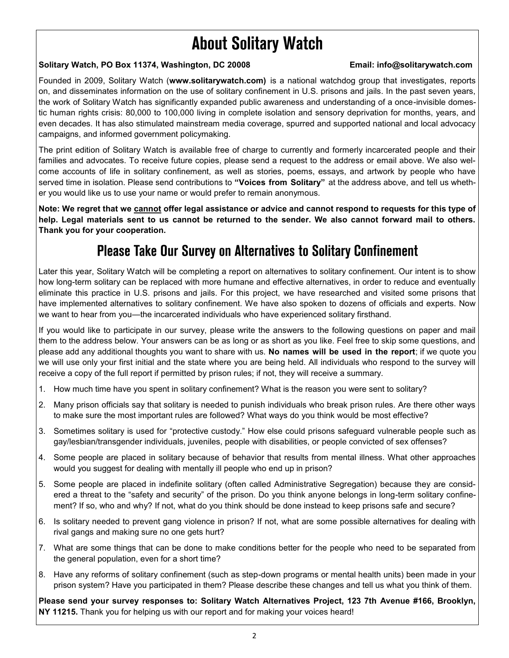# **About Solitary Watch**

## **Solitary Watch, PO Box 11374, Washington, DC 20008 Email: info@solitarywatch.com**

Founded in 2009, Solitary Watch (**www.solitarywatch.com)** is a national watchdog group that investigates, reports on, and disseminates information on the use of solitary confinement in U.S. prisons and jails. In the past seven years, the work of Solitary Watch has significantly expanded public awareness and understanding of a once-invisible domestic human rights crisis: 80,000 to 100,000 living in complete isolation and sensory deprivation for months, years, and even decades. It has also stimulated mainstream media coverage, spurred and supported national and local advocacy campaigns, and informed government policymaking.

The print edition of Solitary Watch is available free of charge to currently and formerly incarcerated people and their families and advocates. To receive future copies, please send a request to the address or email above. We also welcome accounts of life in solitary confinement, as well as stories, poems, essays, and artwork by people who have served time in isolation. Please send contributions to **"Voices from Solitary"** at the address above, and tell us whether you would like us to use your name or would prefer to remain anonymous.

**Note: We regret that we cannot offer legal assistance or advice and cannot respond to requests for this type of help. Legal materials sent to us cannot be returned to the sender. We also cannot forward mail to others. Thank you for your cooperation.**

## **Please Take Our Survey on Alternatives to Solitary Confinement**

Later this year, Solitary Watch will be completing a report on alternatives to solitary confinement. Our intent is to show how long-term solitary can be replaced with more humane and effective alternatives, in order to reduce and eventually eliminate this practice in U.S. prisons and jails. For this project, we have researched and visited some prisons that have implemented alternatives to solitary confinement. We have also spoken to dozens of officials and experts. Now we want to hear from you—the incarcerated individuals who have experienced solitary firsthand.

If you would like to participate in our survey, please write the answers to the following questions on paper and mail them to the address below. Your answers can be as long or as short as you like. Feel free to skip some questions, and please add any additional thoughts you want to share with us. **No names will be used in the report**; if we quote you we will use only your first initial and the state where you are being held. All individuals who respond to the survey will receive a copy of the full report if permitted by prison rules; if not, they will receive a summary.

- 1. How much time have you spent in solitary confinement? What is the reason you were sent to solitary?
- 2. Many prison officials say that solitary is needed to punish individuals who break prison rules. Are there other ways to make sure the most important rules are followed? What ways do you think would be most effective?
- 3. Sometimes solitary is used for "protective custody." How else could prisons safeguard vulnerable people such as gay/lesbian/transgender individuals, juveniles, people with disabilities, or people convicted of sex offenses?
- 4. Some people are placed in solitary because of behavior that results from mental illness. What other approaches would you suggest for dealing with mentally ill people who end up in prison?
- 5. Some people are placed in indefinite solitary (often called Administrative Segregation) because they are considered a threat to the "safety and security" of the prison. Do you think anyone belongs in long-term solitary confinement? If so, who and why? If not, what do you think should be done instead to keep prisons safe and secure?
- 6. Is solitary needed to prevent gang violence in prison? If not, what are some possible alternatives for dealing with rival gangs and making sure no one gets hurt?
- 7. What are some things that can be done to make conditions better for the people who need to be separated from the general population, even for a short time?
- 8. Have any reforms of solitary confinement (such as step-down programs or mental health units) been made in your prison system? Have you participated in them? Please describe these changes and tell us what you think of them.

**Please send your survey responses to: Solitary Watch Alternatives Project, 123 7th Avenue #166, Brooklyn, NY 11215.** Thank you for helping us with our report and for making your voices heard!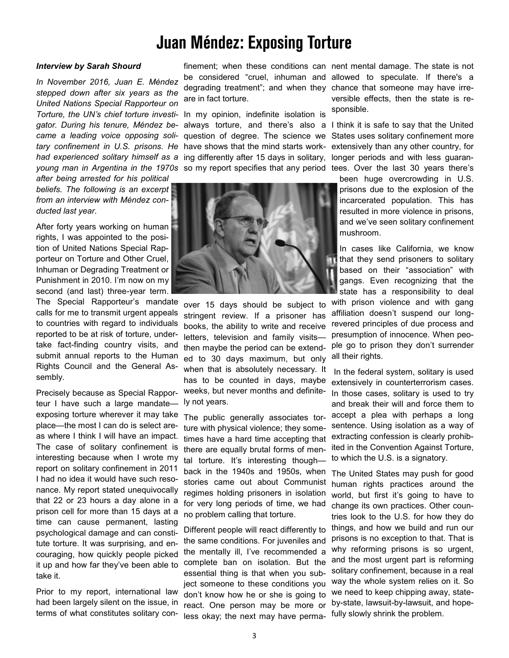# **Juan Méndez: Exposing Torture**

### *Interview by Sarah Shourd*

*In November 2016, Juan E. Méndez stepped down after six years as the United Nations Special Rapporteur on gator. During his tenure, Méndez became a leading voice opposing solitary confinement in U.S. prisons. He* 

*after being arrested for his political beliefs. The following is an excerpt from an interview with Méndez conducted last year.* 

After forty years working on human rights, I was appointed to the position of United Nations Special Rapporteur on Torture and Other Cruel, Inhuman or Degrading Treatment or Punishment in 2010. I'm now on my second (and last) three-year term.

The Special Rapporteur's mandate calls for me to transmit urgent appeals to countries with regard to individuals reported to be at risk of torture, undertake fact-finding country visits, and submit annual reports to the Human Rights Council and the General Assembly.

Precisely because as Special Rapporteur I have such a large mandate exposing torture wherever it may take place—the most I can do is select areas where I think I will have an impact. The case of solitary confinement is interesting because when I wrote my report on solitary confinement in 2011 I had no idea it would have such resonance. My report stated unequivocally that 22 or 23 hours a day alone in a prison cell for more than 15 days at a time can cause permanent, lasting psychological damage and can constitute torture. It was surprising, and encouraging, how quickly people picked it up and how far they've been able to take it.

Prior to my report, international law had been largely silent on the issue, in terms of what constitutes solitary conare in fact torture.

*Torture, the UN's chief torture investi-*In my opinion, indefinite isolation is *had experienced solitary himself as a*  ing differently after 15 days in solitary, young man in Argentina in the 1970s so my report specifies that any period tees. Over the last 30 years there's have shows that the mind starts work-



over 15 days should be subject to stringent review. If a prisoner has books, the ability to write and receive letters, television and family visits then maybe the period can be extended to 30 days maximum, but only when that is absolutely necessary. It has to be counted in days, maybe weeks, but never months and definitely not years.

The public generally associates torture with physical violence; they sometimes have a hard time accepting that there are equally brutal forms of mental torture. It's interesting though back in the 1940s and 1950s, when stories came out about Communist regimes holding prisoners in isolation for very long periods of time, we had no problem calling that torture.

Different people will react differently to the same conditions. For juveniles and the mentally ill, I've recommended a complete ban on isolation. But the essential thing is that when you subject someone to these conditions you don't know how he or she is going to react. One person may be more or less okay; the next may have perma-

finement; when these conditions can nent mental damage. The state is not be considered "cruel, inhuman and allowed to speculate. If there's a degrading treatment"; and when they chance that someone may have irreversible effects, then the state is responsible.

always torture, and there's also a I think it is safe to say that the United question of degree. The science we States uses solitary confinement more extensively than any other country, for longer periods and with less guaran-

> been huge overcrowding in U.S. prisons due to the explosion of the incarcerated population. This has resulted in more violence in prisons, and we've seen solitary confinement mushroom.

In cases like California, we know that they send prisoners to solitary based on their "association" with gangs. Even recognizing that the state has a responsibility to deal with prison violence and with gang affiliation doesn't suspend our longrevered principles of due process and presumption of innocence. When people go to prison they don't surrender all their rights.

In the federal system, solitary is used extensively in counterterrorism cases. In those cases, solitary is used to try and break their will and force them to accept a plea with perhaps a long sentence. Using isolation as a way of extracting confession is clearly prohibited in the Convention Against Torture, to which the U.S. is a signatory.

The United States may push for good human rights practices around the world, but first it's going to have to change its own practices. Other countries look to the U.S. for how they do things, and how we build and run our prisons is no exception to that. That is why reforming prisons is so urgent, and the most urgent part is reforming solitary confinement, because in a real way the whole system relies on it. So we need to keep chipping away, stateby-state, lawsuit-by-lawsuit, and hopefully slowly shrink the problem.